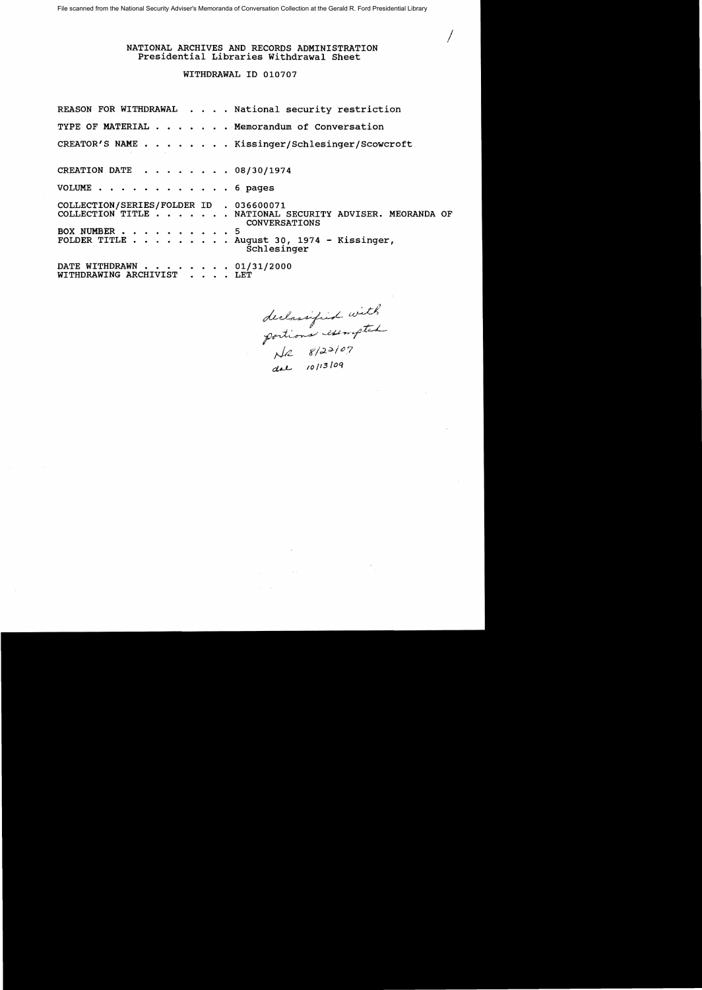# NATIONAL ARCHIVES AND RECORDS ADMINISTRATION Presidential Libraries Withdrawal Sheet

### WITHDRAWAL ID 010707

REASON FOR WITHDRAWAL . . . . National security restriction TYPE OF MATERIAL . . . . . . Memorandum of Conversation CREATOR'S NAME . . . . . . . . Kissinger/Schlesinger/Scowcroft CREATION DATE  $\cdot \cdot \cdot \cdot \cdot \cdot 08/30/1974$ VOLUME . . . . . . . . . . . . . 6 pages COLLECTION/SERIES/FOLDER ID . 036600071 COLLECTION TITLE . . . . . . NATIONAL SECURITY ADVISER. MEORANDA OF CONVERSATIONS BOX NUMBER . . . . . . . . . . 5<br>FOLDER TITLE . . . . . . . . . A Folder Title + Sugard 1974 - Kissinger,<br>Schlesinger DATE WITHDRAWN . . . . . . . 01/31/2000 WITHDRAWING ARCHIVIST . . . . LET

declassified with<br>portions exempted<br>are 10/13/09<br>dae 10/13/09

/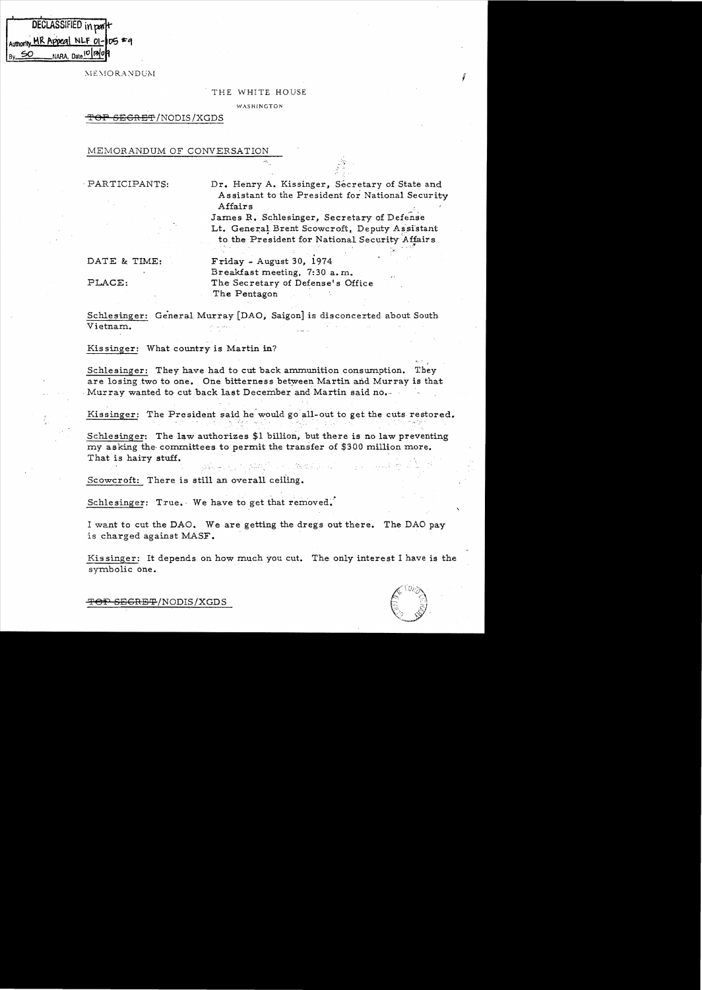| DECLASSIFIED in part             |                     |  |  |  |  |
|----------------------------------|---------------------|--|--|--|--|
| Authority MR Appeal NLF 01-05 #9 |                     |  |  |  |  |
|                                  | NARA, Date 10 130 A |  |  |  |  |

MEMORANDUM

#### THE WHITE HOUSE

WASHINGTON

# <del>SECRET</del>/NODIS/XGDS

MEMORANDUM OF CONVERSATION

, PARTICIPANTS:

Dr. Henry A. Kissinger, Secretary of State and Assistant to the President for National Security Affairs

James R. Schlesinger, Secretary of Defense Lt. General Brent Scowcroft, Deputy Assistant to the President for National Security Affairs

. :. .. . . - -

DATE & TIME:

PLACE:

. Friday - August 30, 1974 Breakfast meeting. 7:30 a. m,. The Secretary of Defense's Office The Pentagon '

Schlesinger: General Murray [DAO, Saigon] is disconcerted about South Vietnam.

Kissinger: What country is Martin in?

 $\mathbf{y}$ Schlesinger: They have had to cut back ammunition consumption. They are losing two to one. One bitterness between Martin and Murray is that Murray wanted to cut back last December and Martin said no.

Kissinger: The President said he would go all-out to get the cuts restored.

Schlesinger: The law authorizes  $$1$  billion, but there is no law preventing my asking the' committees to permit the transfer of \$300 million more. That is hairy stuff.

 $\mathcal{L} = \mathcal{L} \left( \mathcal{L} \right)$  , where  $\mathcal{L} \left( \mathcal{L} \right)$ 

Scowcroft: There is still an overall ceiling.

Schlesinger: True. We have to get that  $removed.$ 

I want to cut the DAO. We are getting the dregs out there. The DAO pay is charged against MASF.

Kia singer: It depends on how much you cut. The only interest I have is the symbolic one.



<del>OP SEGRET</del>/NODIS/XGDS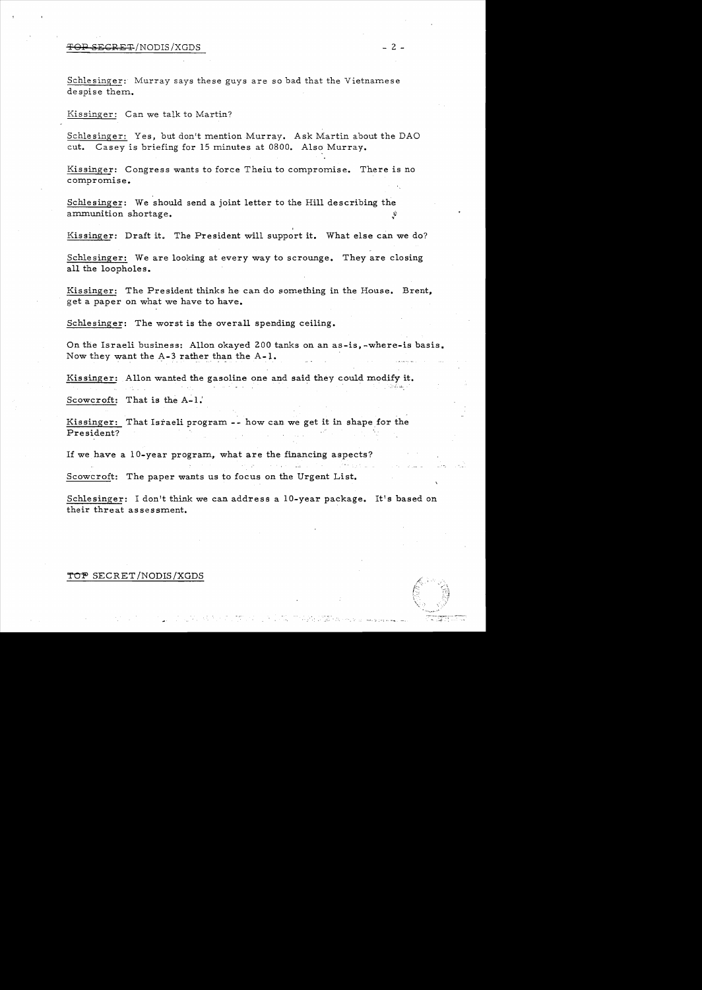# 'i'OP ~EGRET /NODIS /XGDS - 2 -

Schlesinger: Murray says these guys are so bad that the Vietnamese despise them.

Kissinger: Can we talk to Martin?

Schlesinger: Yes, but don't mention Murray. Ask Martin about the DAO cut. Casey is briefing for 15 minutes at 0800. Also Murray.

Kissinger: Congress wants to force Theiu to compromise. There is no compromise.

Schlesinger: We should send a joint letter to the Hill describing the ammunition shortage.

Kissinger: Draft it. The President will support it. What else can we do?

Schlesinger: We are looking at every way to scrounge. They are closing all the loopholes.

Kissinger: The President thinks he can do something in the House. Brent, get a paper on what we have to have.

Schlesinger: The worst is the overall spending ceiling.

On the Israeli business: Allon okayed 200 tanks on an as-is, -where-is basis. Now they want the  $A-3$  rather than the  $A-1$ .

Kissinger: Allon wanted the gasoline one and said they could modify it.

Scowcroft: That is the  $A-1$ .

Kissinger: That Israeli program -- how can we get it in shape for the President?

If we have a  $10$ -year program, what are the financing aspects?

Scowcroft: The paper wants us to focus on the Urgent List.

Schlesinger: I don't think we can address a 10-year package. It's based on their threat assessment.

# TOP SECRET/NODIS/XGDS

 $\mathcal{L}^{\mathcal{L}}\left( \mathcal{L}^{\mathcal{L}}\right) =\mathcal{L}^{\mathcal{L}}\left( \mathcal{L}^{\mathcal{L}}\right)$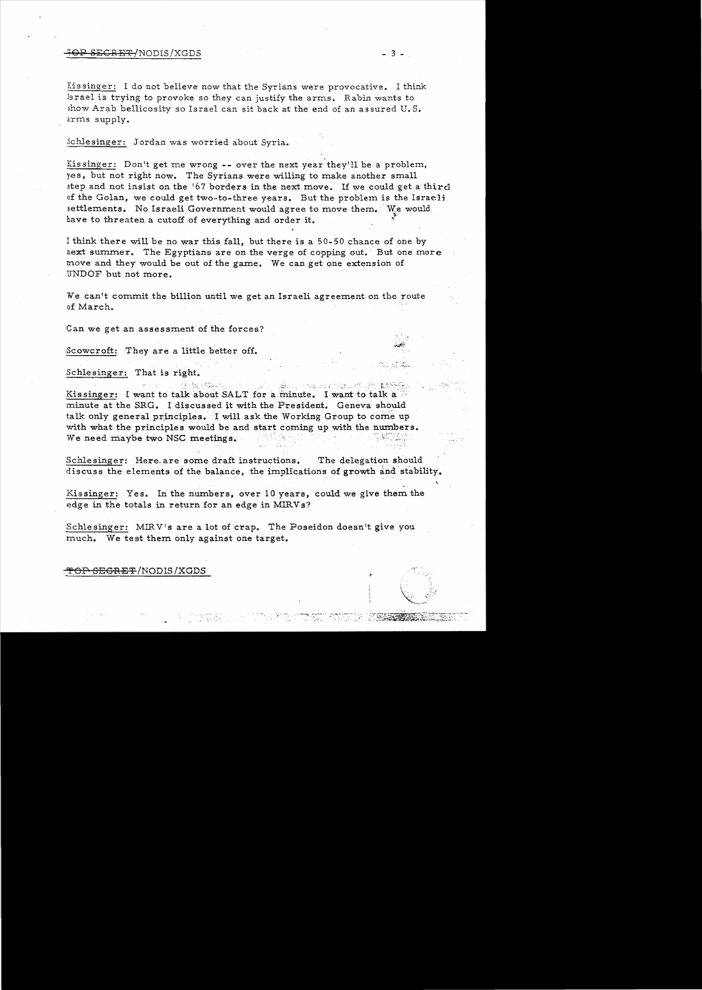# SEGRET/NODIS/XGDS - 3 -

Xis singer: Ido not believe now that the Syrians were provocative. I think lsrael is trying to provoke so they can justify the arrns. Rabin wants to show Arab bellicosity so Israel can sit back at the end of an assured U. S. arms supply.

Schlesinger: Jordan was worried about Syria.

Kissinger: Don't get me wrong -- over the next year they'll be a problem, yes, but not right now. The Syrians were willing to make another small step and not insist on the '67 borders in the next move. If we could get a third of the Golan, we could get two-to-three years. But the problem is the Israeli settlements. No Israeli Government would agree to move them. We would have to threaten a cutoff of everything and order it.

1 think there will be no war this fall, but there is a 50-50 chance of one by next summer. The Egyptians are on the verge of copping out. But one more move and they would be out of the game. We can get one extension of UNDOF but not more.

We can't commit the billion until we get an Israeli agreement on the route of March.

Can we get an assessment of the forces?

Scowcroft: They are a little better off.

Schlesinger: That is right.

Kissinger: I want to talk about SALT for a minute. I want to talk a minute at the SRG. I discussed it with the President. Geneva should talk only general principles. I will ask the Working Group to come up with what the principles would be and start coming up with the numbers. Exissinger: I want to talk about SALT for a minute. I want to talk a<br>minute at the SRG. I discussed it with the President. Geneva should<br>talk only general principles. I will ask the Working Group to come us<br>with what the p

Schlesinger: Here. are some draft instructions. The delegation should discuss the elements of the balance, the implications of growth and stability.

Kissinger: Yes. In the numbers, over  $10$  years, could we give them the edge in the totals in return for an edge in MIRVs?

Schlesinger: MIRV's are a lot of crap. The Poseidon doesn't give you much. We test them only against one target.

<del>'OP SEGRET</del>/NODIS/XGDS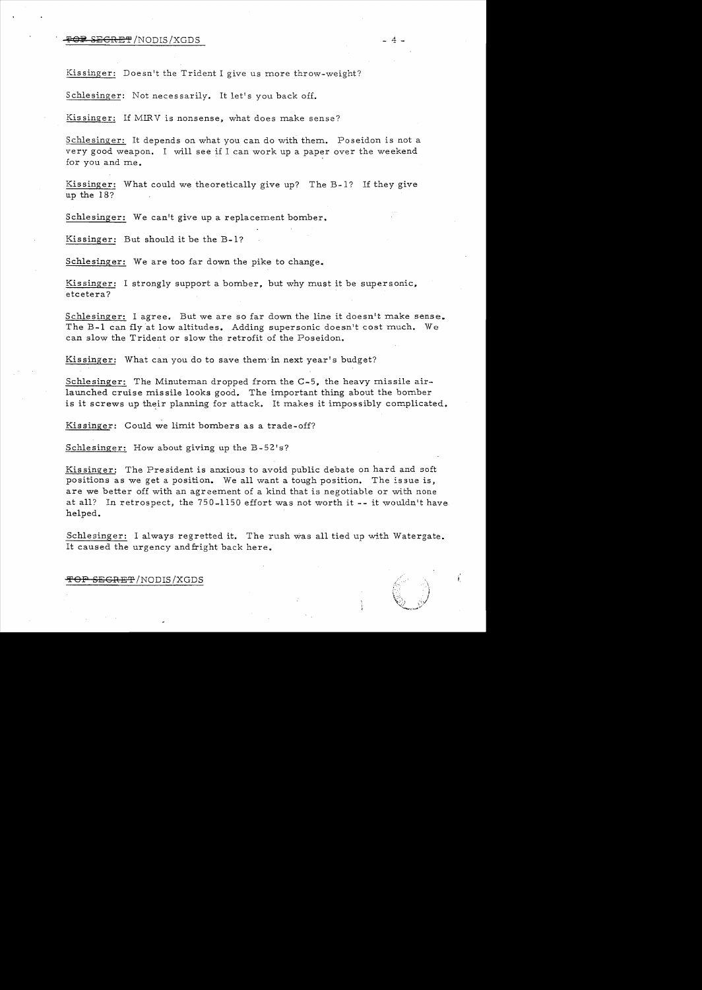### ~£GRET /NODIS /XGDS 4 -

Kissinger: Doesn't the Trident I give us more throw-weight?

Schlesinger: Not necessarily. It let's you back off.

Kissinger: If MIRV is nonsense, what does make sense?

Schlesinger: It depends on what you can do with them. Poseidon is not a very good weapon. I will see if I can work up a paper over the weekend for you and me.

Kissinger: What could we theoretically give up? The B-1? If they give up the 18?

Schlesinger: We can't give up a replacement bomber.

Kis singer: But should it be the B-1?

Schlesinger: We are too far down the pike to change.

Kissinger: I strongly support a bomber, but why must it be supersonic, etcetera?

Schlesinger: I agree. But we are so far down the line it doesn't make sense. The B-1 can fly at low altitudes. Adding supersonic doesn't cost much. We can slow the Trident or slow the retrofit of the Poseidon.

Kissinger: What can you do to save them in next year's budget?

Schlesinger: The Minuteman dropped from the C-5, the heavy missile airlaunched cruise mis sile looks good. The important thing about the bomber is it screws up their planning for attack. It makes it impossibly complicated.

Kissinger: Could we limit bombers as a trade-off?

Schlesinger: How about giving up the B-52's?

Kissinger: The President is anxious to avoid public debate on hard and soft positions as we get a position. We all want a tough position. The issue is, are we better off with an agreement of a kind that is negotiable or with none at all? In retrospect, the 750-1150 effort was not worth it -- it wouldn't have helped.

Schlesinger: I always regretted it. The rush was all tied up with Watergate. It caused the urgency and fright back here.

> $~\otimes~$  ;  $\vee$ ~"'."....;.>

<del>TOP SECRET</del>/NODIS/XGDS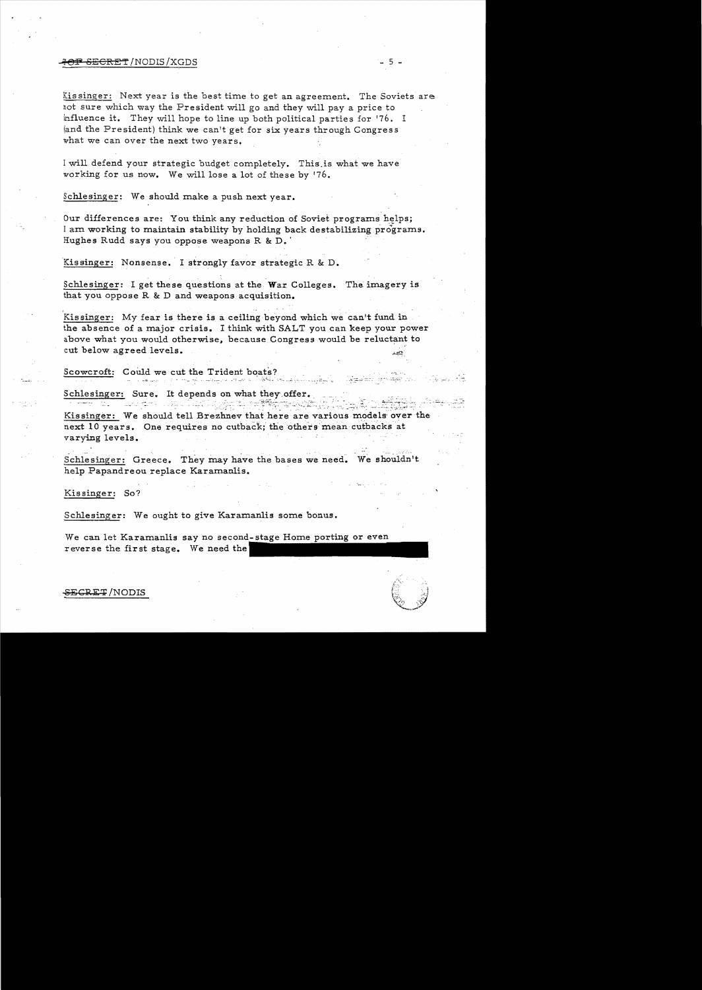### ....ql()¥' SECRET!NODIS!XGDS - 5

Kissinger: Next year is the best time to get an agreement. The Soviets are not sure which way the President will go and they will pay a price to influence it. They will hope to line up both political parties for '76. I (and the President) think we canlt get for six years through Congress what we can over the next two years.

I will defend your strategic budget completely. This is what we have working for us now. We will lose a lot of these by '76.

Schlesinger: We should make a push next year.

Our differences are: You think any reduction of Soviet programs helps; I am working to maintain stability by holding back destabilizing programs. Hughes Rudd says you oppose weapons R&D. '

Kissinger: Nonsense. I strongly favor strategic R & D.

Schlesinger: I get these questions at the War Colleges. The imagery is that you oppose R & D and weapons acquisition.

Kissinger: My fear is there is a ceiling beyond which we can't fund in the absence of a major crisis. I think with SALT you can keep your power above what you would otherwise, because Congress would be reluctant to cut below agreed levels.

Scowcroft: Could we cut the Trident boats?

Schlesinger: Sure. It depends on what they offer.

بهي عجاب الاية الألاب الما جمل عن الرسولية... ... أو المدين المادين المادين المادين المادين المادين المادين ال

المناوبة العربية المحادث التي المحادث المحادث المحادث المحادث المحادث المحادث المحادث المحادث المحادث المحادث<br>فوزولي المحادث بعد والمحادث المحادث المحادث المحادث المحادث المحادث المحادث المحادث المحادث المحادث المحادث ال Kissinger: We should tell Brezhnev that here are various models over the next 10 years. One requires no cutback; the others mean cutbacks at varying levels.

.... ... ... ... Schlesinger: Greece. They may have the bases we need. We shouldn't help Papandreou replace Karamanlis.

Kissinger: So?

Schlesinger: We ought to give Karamanlis some bonus.

We can let Karamanlis say no second-stag reverse the first stage. We need the

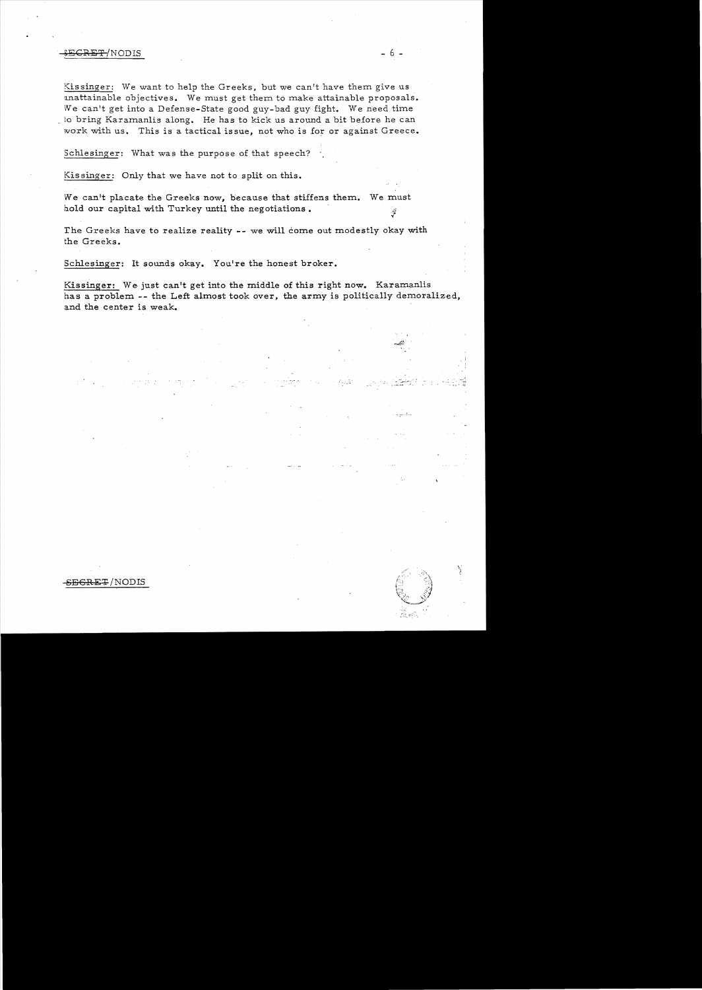# SECRET/NODIS - 6

Kissinger: We want to help the Greeks, but we can't have them give us unattainable objectives. We must get them to make attainable proposals. We can't get into a Defense-State good guy-bad guy fight. We need time to bring Karamanlis along. He has to kick us around a bit before he can work with us. This is a tactical issue, not who is for or against Greece.

Schlesinger: What was the purpose of that speech?

Kissinger: Only that we have not to split on this.

We can't placate the Greeks now, because that stiffens them. We must hold our capital with Turkey until the negotiations.  $\frac{1}{2}$ 

The Greeks have to realize reality **--** we will come out modestly okay with the Greeks.

Schlesinger: It sounds okay. You're the honest broker.

Kissinger: We just can't get into the middle of this right now. Karamanlis has a problem -- the Left almost took over, the army is politically demoralized, and the center is weak.